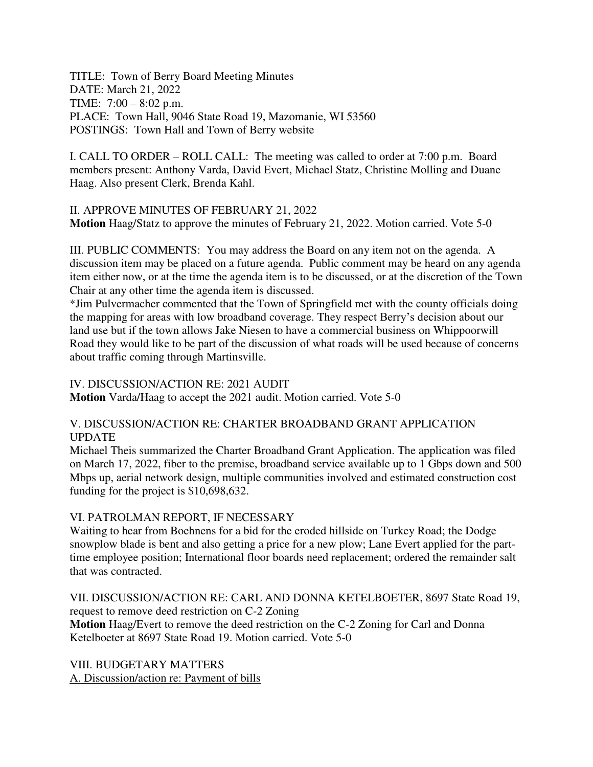TITLE: Town of Berry Board Meeting Minutes DATE: March 21, 2022 TIME: 7:00 – 8:02 p.m. PLACE: Town Hall, 9046 State Road 19, Mazomanie, WI 53560 POSTINGS: Town Hall and Town of Berry website

I. CALL TO ORDER – ROLL CALL: The meeting was called to order at 7:00 p.m. Board members present: Anthony Varda, David Evert, Michael Statz, Christine Molling and Duane Haag. Also present Clerk, Brenda Kahl.

II. APPROVE MINUTES OF FEBRUARY 21, 2022 **Motion** Haag/Statz to approve the minutes of February 21, 2022. Motion carried. Vote 5-0

III. PUBLIC COMMENTS: You may address the Board on any item not on the agenda. A discussion item may be placed on a future agenda. Public comment may be heard on any agenda item either now, or at the time the agenda item is to be discussed, or at the discretion of the Town Chair at any other time the agenda item is discussed.

\*Jim Pulvermacher commented that the Town of Springfield met with the county officials doing the mapping for areas with low broadband coverage. They respect Berry's decision about our land use but if the town allows Jake Niesen to have a commercial business on Whippoorwill Road they would like to be part of the discussion of what roads will be used because of concerns about traffic coming through Martinsville.

IV. DISCUSSION/ACTION RE: 2021 AUDIT **Motion** Varda/Haag to accept the 2021 audit. Motion carried. Vote 5-0

# V. DISCUSSION/ACTION RE: CHARTER BROADBAND GRANT APPLICATION UPDATE

Michael Theis summarized the Charter Broadband Grant Application. The application was filed on March 17, 2022, fiber to the premise, broadband service available up to 1 Gbps down and 500 Mbps up, aerial network design, multiple communities involved and estimated construction cost funding for the project is \$10,698,632.

# VI. PATROLMAN REPORT, IF NECESSARY

Waiting to hear from Boehnens for a bid for the eroded hillside on Turkey Road; the Dodge snowplow blade is bent and also getting a price for a new plow; Lane Evert applied for the parttime employee position; International floor boards need replacement; ordered the remainder salt that was contracted.

VII. DISCUSSION/ACTION RE: CARL AND DONNA KETELBOETER, 8697 State Road 19, request to remove deed restriction on C-2 Zoning

**Motion** Haag/Evert to remove the deed restriction on the C-2 Zoning for Carl and Donna Ketelboeter at 8697 State Road 19. Motion carried. Vote 5-0

VIII. BUDGETARY MATTERS

A. Discussion/action re: Payment of bills